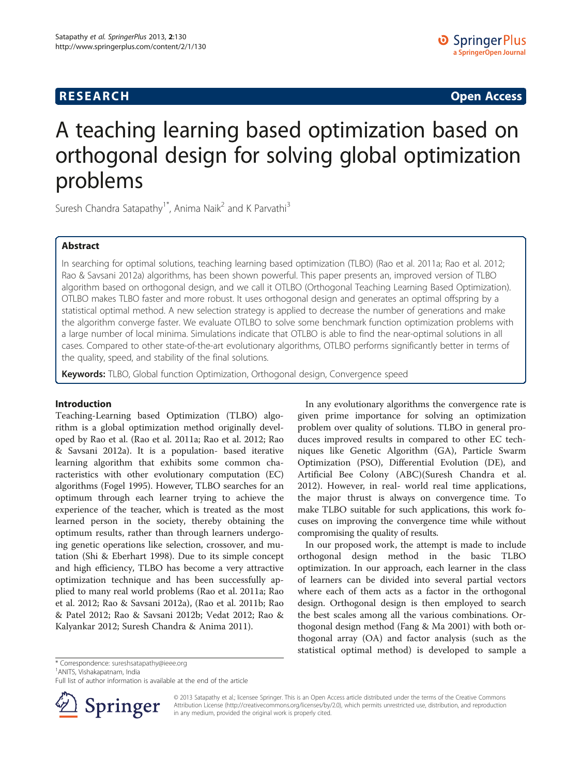# **RESEARCH CHINESE ARCH CHINESE ARCH CHINESE ARCH <b>CHINESE ARCH**

# A teaching learning based optimization based on orthogonal design for solving global optimization problems

Suresh Chandra Satapathy<sup>1\*</sup>, Anima Naik<sup>2</sup> and K Parvathi<sup>3</sup>

# Abstract

In searching for optimal solutions, teaching learning based optimization (TLBO) (Rao et al. 2011a; Rao et al. 2012; Rao & Savsani 2012a) algorithms, has been shown powerful. This paper presents an, improved version of TLBO algorithm based on orthogonal design, and we call it OTLBO (Orthogonal Teaching Learning Based Optimization). OTLBO makes TLBO faster and more robust. It uses orthogonal design and generates an optimal offspring by a statistical optimal method. A new selection strategy is applied to decrease the number of generations and make the algorithm converge faster. We evaluate OTLBO to solve some benchmark function optimization problems with a large number of local minima. Simulations indicate that OTLBO is able to find the near-optimal solutions in all cases. Compared to other state-of-the-art evolutionary algorithms, OTLBO performs significantly better in terms of the quality, speed, and stability of the final solutions.

Keywords: TLBO, Global function Optimization, Orthogonal design, Convergence speed

### Introduction

Teaching-Learning based Optimization (TLBO) algorithm is a global optimization method originally developed by Rao et al. (Rao et al. [2011a;](#page-11-0) Rao et al. [2012;](#page-11-0) Rao & Savsani [2012a\)](#page-11-0). It is a population- based iterative learning algorithm that exhibits some common characteristics with other evolutionary computation (EC) algorithms (Fogel [1995](#page-10-0)). However, TLBO searches for an optimum through each learner trying to achieve the experience of the teacher, which is treated as the most learned person in the society, thereby obtaining the optimum results, rather than through learners undergoing genetic operations like selection, crossover, and mutation (Shi & Eberhart [1998](#page-11-0)). Due to its simple concept and high efficiency, TLBO has become a very attractive optimization technique and has been successfully applied to many real world problems (Rao et al. [2011a;](#page-11-0) Rao et al. [2012](#page-11-0); Rao & Savsani [2012a](#page-11-0)), (Rao et al. [2011b;](#page-11-0) Rao & Patel [2012;](#page-11-0) Rao & Savsani [2012b](#page-11-0); Vedat [2012](#page-11-0); Rao & Kalyankar [2012;](#page-11-0) Suresh Chandra & Anima [2011\)](#page-11-0).

In any evolutionary algorithms the convergence rate is given prime importance for solving an optimization problem over quality of solutions. TLBO in general produces improved results in compared to other EC techniques like Genetic Algorithm (GA), Particle Swarm Optimization (PSO), Differential Evolution (DE), and Artificial Bee Colony (ABC)(Suresh Chandra et al. [2012\)](#page-11-0). However, in real- world real time applications, the major thrust is always on convergence time. To make TLBO suitable for such applications, this work focuses on improving the convergence time while without compromising the quality of results.

In our proposed work, the attempt is made to include orthogonal design method in the basic TLBO optimization. In our approach, each learner in the class of learners can be divided into several partial vectors where each of them acts as a factor in the orthogonal design. Orthogonal design is then employed to search the best scales among all the various combinations. Orthogonal design method (Fang & Ma [2001](#page-10-0)) with both orthogonal array (OA) and factor analysis (such as the statistical optimal method) is developed to sample a

\* Correspondence: [sureshsatapathy@ieee.org](mailto:sureshsatapathy@ieee.org) <sup>1</sup>

<sup>1</sup> ANITS, Vishakapatnam, India

Full list of author information is available at the end of the article



© 2013 Satapathy et al.; licensee Springer. This is an Open Access article distributed under the terms of the Creative Commons Attribution License [\(http://creativecommons.org/licenses/by/2.0\)](http://creativecommons.org/licenses/by/2.0), which permits unrestricted use, distribution, and reproduction in any medium, provided the original work is properly cited.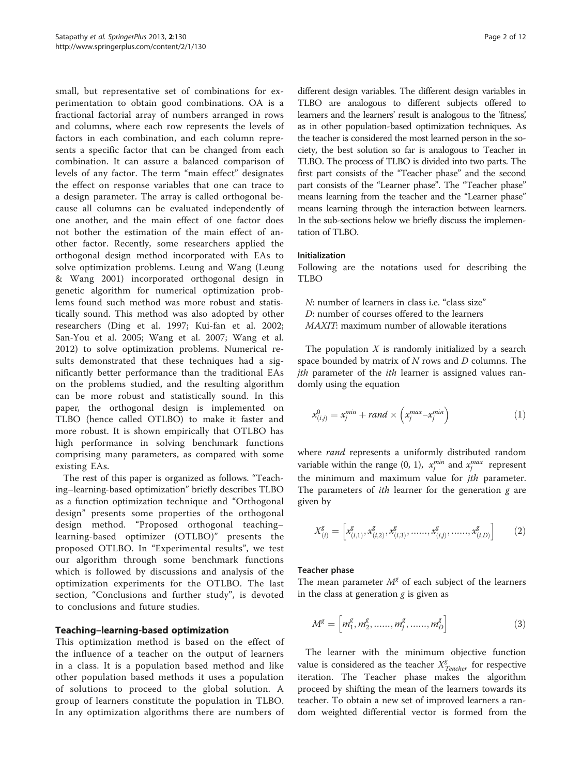small, but representative set of combinations for experimentation to obtain good combinations. OA is a fractional factorial array of numbers arranged in rows and columns, where each row represents the levels of factors in each combination, and each column represents a specific factor that can be changed from each combination. It can assure a balanced comparison of levels of any factor. The term "main effect" designates the effect on response variables that one can trace to a design parameter. The array is called orthogonal because all columns can be evaluated independently of one another, and the main effect of one factor does not bother the estimation of the main effect of another factor. Recently, some researchers applied the orthogonal design method incorporated with EAs to solve optimization problems. Leung and Wang (Leung & Wang [2001\)](#page-10-0) incorporated orthogonal design in genetic algorithm for numerical optimization problems found such method was more robust and statistically sound. This method was also adopted by other researchers (Ding et al. [1997;](#page-10-0) Kui-fan et al. [2002](#page-10-0); San-You et al. [2005;](#page-11-0) Wang et al. [2007](#page-11-0); Wang et al. [2012\)](#page-11-0) to solve optimization problems. Numerical results demonstrated that these techniques had a significantly better performance than the traditional EAs on the problems studied, and the resulting algorithm can be more robust and statistically sound. In this paper, the orthogonal design is implemented on TLBO (hence called OTLBO) to make it faster and more robust. It is shown empirically that OTLBO has high performance in solving benchmark functions comprising many parameters, as compared with some existing EAs.

The rest of this paper is organized as follows. "Teaching–learning-based optimization" briefly describes TLBO as a function optimization technique and "[Orthogonal](#page-2-0) [design](#page-2-0)" presents some properties of the orthogonal design method. "[Proposed orthogonal teaching](#page-3-0)– [learning-based optimizer \(OTLBO\)](#page-3-0)" presents the proposed OTLBO. In "[Experimental results](#page-3-0)", we test our algorithm through some benchmark functions which is followed by discussions and analysis of the optimization experiments for the OTLBO. The last section, "[Conclusions and further study](#page-10-0)", is devoted to conclusions and future studies.

### Teaching–learning-based optimization

This optimization method is based on the effect of the influence of a teacher on the output of learners in a class. It is a population based method and like other population based methods it uses a population of solutions to proceed to the global solution. A group of learners constitute the population in TLBO. In any optimization algorithms there are numbers of

different design variables. The different design variables in TLBO are analogous to different subjects offered to learners and the learners' result is analogous to the 'fitness,' as in other population-based optimization techniques. As the teacher is considered the most learned person in the society, the best solution so far is analogous to Teacher in TLBO. The process of TLBO is divided into two parts. The first part consists of the "Teacher phase" and the second part consists of the "[Learner phase](#page-2-0)". The "Teacher phase" means learning from the teacher and the "[Learner phase](#page-2-0)" means learning through the interaction between learners. In the sub-sections below we briefly discuss the implementation of TLBO.

### Initialization

Following are the notations used for describing the TLBO

N: number of learners in class i.e. "class size" D: number of courses offered to the learners MAXIT: maximum number of allowable iterations

The population  $X$  is randomly initialized by a search space bounded by matrix of  $N$  rows and  $D$  columns. The *jth* parameter of the *ith* learner is assigned values randomly using the equation

$$
x_{(i,j)}^0 = x_j^{min} + rand \times \left(x_j^{max} - x_j^{min}\right) \tag{1}
$$

where rand represents a uniformly distributed random variable within the range (0, 1),  $x_j^{min}$  and  $x_j^{max}$  represent the minimum and maximum value for *jth* parameter. The parameters of *ith* learner for the generation  $g$  are given by

$$
X_{(i)}^g = \left[ x_{(i,1)}^g, x_{(i,2)}^g, x_{(i,3)}^g, \dots, x_{(i,j)}^g, \dots, x_{(i,D)}^g \right] \tag{2}
$$

### Teacher phase

The mean parameter  $M<sup>g</sup>$  of each subject of the learners in the class at generation  $g$  is given as

$$
M^{g} = \left[m_{1}^{g}, m_{2}^{g}, \dots, m_{j}^{g}, \dots, m_{D}^{g}\right]
$$
 (3)

The learner with the minimum objective function value is considered as the teacher  $X_{Teacher}^g$  for respective iteration. The Teacher phase makes the algorithm proceed by shifting the mean of the learners towards its teacher. To obtain a new set of improved learners a random weighted differential vector is formed from the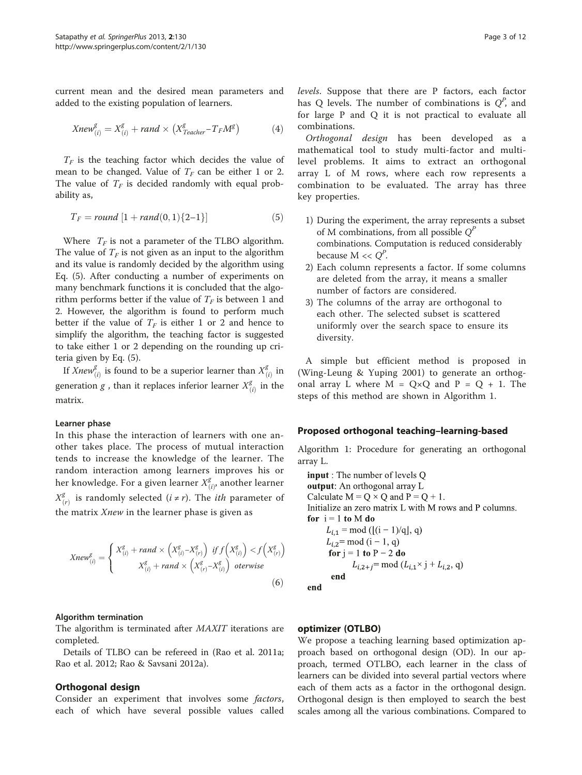<span id="page-2-0"></span>current mean and the desired mean parameters and added to the existing population of learners.

$$
Xnew_{(i)}^{g} = X_{(i)}^{g} + rand \times (X_{Teacher}^{g} - T_F M^g)
$$
 (4)

 $T_F$  is the teaching factor which decides the value of mean to be changed. Value of  $T_F$  can be either 1 or 2. The value of  $T_F$  is decided randomly with equal probability as,

$$
T_F = round [1 + rand(0, 1) \{2-1\}]
$$
 (5)

Where  $T_F$  is not a parameter of the TLBO algorithm. The value of  $T_F$  is not given as an input to the algorithm and its value is randomly decided by the algorithm using Eq. (5). After conducting a number of experiments on many benchmark functions it is concluded that the algorithm performs better if the value of  $T_F$  is between 1 and 2. However, the algorithm is found to perform much better if the value of  $T_F$  is either 1 or 2 and hence to simplify the algorithm, the teaching factor is suggested to take either 1 or 2 depending on the rounding up criteria given by Eq. (5).

If  $Xnew_{(i)}^g$  is found to be a superior learner than  $X_{(i)}^g$  in generation *g*, than it replaces inferior learner  $X_{(i)}^g$  in the matrix.

### Learner phase

In this phase the interaction of learners with one another takes place. The process of mutual interaction tends to increase the knowledge of the learner. The random interaction among learners improves his or her knowledge. For a given learner  $X_{(i)}^g$ , another learner  $X_{(r)}^g$  is randomly selected  $(i \neq r)$ . The *ith* parameter of the matrix  $Xnew$  in the learner phase is given as

$$
Xnew_{(i)}^{g} = \begin{cases} X_{(i)}^{g} + rand \times \left(X_{(i)}^{g} - X_{(r)}^{g}\right) & \text{if } f\left(X_{(i)}^{g}\right) < f\left(X_{(r)}^{g}\right) \\ X_{(i)}^{g} + rand \times \left(X_{(r)}^{g} - X_{(i)}^{g}\right) & \text{otherwise} \end{cases} \tag{6}
$$

### Algorithm termination

The algorithm is terminated after MAXIT iterations are completed.

Details of TLBO can be refereed in (Rao et al. [2011a](#page-11-0); Rao et al. [2012](#page-11-0); Rao & Savsani [2012a](#page-11-0)).

### Orthogonal design

Consider an experiment that involves some factors, each of which have several possible values called

levels. Suppose that there are P factors, each factor has Q levels. The number of combinations is  $Q^P$ , and for large P and Q it is not practical to evaluate all combinations.

Orthogonal design has been developed as a mathematical tool to study multi-factor and multilevel problems. It aims to extract an orthogonal array L of M rows, where each row represents a combination to be evaluated. The array has three key properties.

- 1) During the experiment, the array represents a subset of M combinations, from all possible  $O^P$ combinations. Computation is reduced considerably because  $M \ll Q^P$ .
- 2) Each column represents a factor. If some columns are deleted from the array, it means a smaller number of factors are considered.
- 3) The columns of the array are orthogonal to each other. The selected subset is scattered uniformly over the search space to ensure its diversity.

A simple but efficient method is proposed in (Wing-Leung & Yuping [2001\)](#page-11-0) to generate an orthogonal array L where  $M = Q \times Q$  and  $P = Q + 1$ . The steps of this method are shown in Algorithm 1.

### Proposed orthogonal teaching–learning-based

Algorithm 1: Procedure for generating an orthogonal array L.

**input**: The number of levels Q output: An orthogonal array L Calculate  $M = Q \times Q$  and  $P = Q + 1$ . Initialize an zero matrix L with M rows and P columns. for  $i = 1$  to M do  $L_{i,1} = \text{mod } ([i-1)/q], q)$  $L_{i,2}$ = mod (i – 1, q) for  $j = 1$  to  $P - 2$  do  $L_{i,2+j}$ = mod  $(L_{i,1} \times j + L_{i,2}, q)$ end end

### optimizer (OTLBO)

We propose a teaching learning based optimization approach based on orthogonal design (OD). In our approach, termed OTLBO, each learner in the class of learners can be divided into several partial vectors where each of them acts as a factor in the orthogonal design. Orthogonal design is then employed to search the best scales among all the various combinations. Compared to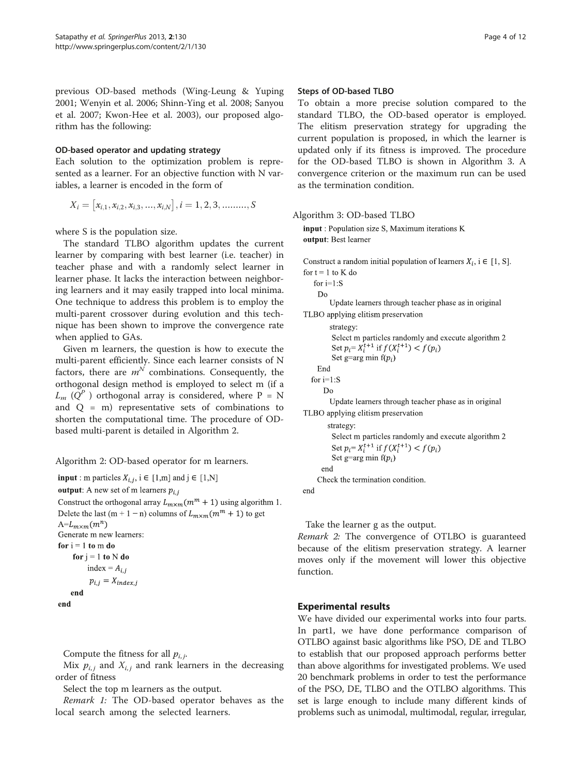<span id="page-3-0"></span>previous OD-based methods (Wing-Leung & Yuping [2001](#page-11-0); Wenyin et al. [2006](#page-11-0); Shinn-Ying et al. [2008;](#page-11-0) Sanyou et al. [2007](#page-11-0); Kwon-Hee et al. [2003](#page-10-0)), our proposed algorithm has the following:

### OD-based operator and updating strategy

Each solution to the optimization problem is represented as a learner. For an objective function with N variables, a learner is encoded in the form of

$$
X_i = [x_{i,1}, x_{i,2}, x_{i,3}, ..., x_{i,N}], i = 1, 2, 3, ......., S
$$

where S is the population size.

The standard TLBO algorithm updates the current learner by comparing with best learner (i.e. teacher) in teacher phase and with a randomly select learner in learner phase. It lacks the interaction between neighboring learners and it may easily trapped into local minima. One technique to address this problem is to employ the multi-parent crossover during evolution and this technique has been shown to improve the convergence rate when applied to GAs.

Given m learners, the question is how to execute the multi-parent efficiently. Since each learner consists of N factors, there are  $m^N$  combinations. Consequently, the orthogonal design method is employed to select m (if a  $L_m$  ( $Q^P$ ) orthogonal array is considered, where P = N and  $Q = m$ ) representative sets of combinations to shorten the computational time. The procedure of ODbased multi-parent is detailed in Algorithm 2.

Algorithm 2: OD-based operator for m learners.

```
input: m particles X_{i,j}, i \in [1,m] and j \in [1,N]
```
**output:** A new set of m learners  $p_{i,i}$ 

Construct the orthogonal array  $L_{m \times m}(m^m + 1)$  using algorithm 1. Delete the last (m + 1 - n) columns of  $L_{m \times m}(m^m + 1)$  to get  $A=L_{m\times m}(m^n)$ Generate m new learners: for  $i = 1$  to  $m$  do

```
for j = 1 to N do
     index = A_{i,i}p_{i,j} = X_{index,i}end
```
end

Compute the fitness for all  $p_{i,j}$ .

Mix  $p_{i,j}$  and  $X_{i,j}$  and rank learners in the decreasing order of fitness

Select the top m learners as the output.

Remark 1: The OD-based operator behaves as the local search among the selected learners.

### Steps of OD-based TLBO

To obtain a more precise solution compared to the standard TLBO, the OD-based operator is employed. The elitism preservation strategy for upgrading the current population is proposed, in which the learner is updated only if its fitness is improved. The procedure for the OD-based TLBO is shown in Algorithm 3. A convergence criterion or the maximum run can be used as the termination condition.

Algorithm 3: OD-based TLBO

input : Population size S, Maximum iterations K output: Best learner

Construct a random initial population of learners  $X_i$ ,  $i \in [1, S]$ . for  $t = 1$  to K do

for  $i=1:$ S  $Do$ Update learners through teacher phase as in original TLBO applying elitism preservation strategy: Select m particles randomly and execute algorithm 2 Set  $p_i = X_i^{\hat{t}+1}$  if  $f(X_i^{t+1}) < f(p_i)$ 

Set g=arg min  $f(p_i)$ 

```
End
for i=1: S
```
Do

Update learners through teacher phase as in original TLBO applying elitism preservation

strategy: Select m particles randomly and execute algorithm 2 Set  $p_i = X_i^{t+1}$  if  $f(X_i^{t+1}) < f(p_i)$ Set g=arg min  $f(p_i)$ end Check the termination condition.

end

Take the learner g as the output.

Remark 2: The convergence of OTLBO is guaranteed because of the elitism preservation strategy. A learner moves only if the movement will lower this objective function.

# Experimental results

We have divided our experimental works into four parts. In part1, we have done performance comparison of OTLBO against basic algorithms like PSO, DE and TLBO to establish that our proposed approach performs better than above algorithms for investigated problems. We used 20 benchmark problems in order to test the performance of the PSO, DE, TLBO and the OTLBO algorithms. This set is large enough to include many different kinds of problems such as unimodal, multimodal, regular, irregular,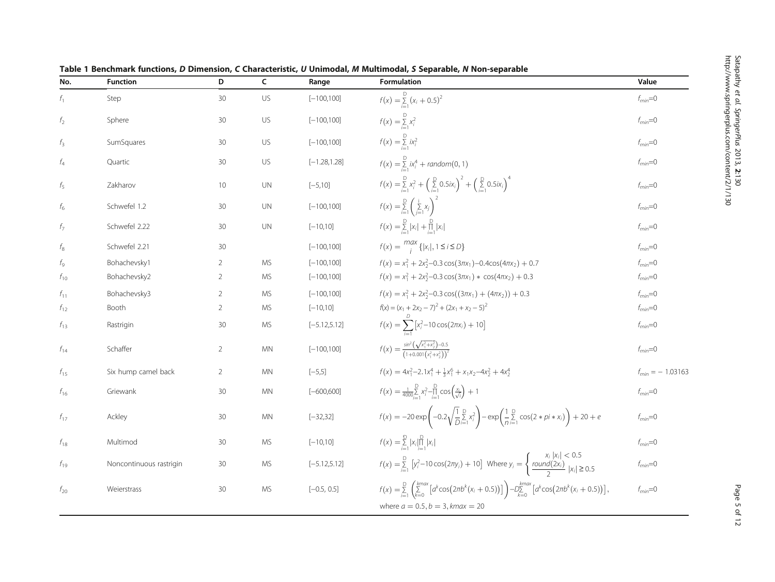| No.            | <b>Function</b>         | D              | $\mathsf{C}$ | Range           | Formulation                                                                                                                                                                       | Value                |
|----------------|-------------------------|----------------|--------------|-----------------|-----------------------------------------------------------------------------------------------------------------------------------------------------------------------------------|----------------------|
| $f_1$          | Step                    | 30             | US           | $[-100, 100]$   | $f(x) = \sum_{i=1}^{D} (x_i + 0.5)^2$                                                                                                                                             | $f_{min}=0$          |
| f <sub>2</sub> | Sphere                  | 30             | US           | $[-100, 100]$   | $f(x) = \sum_{i=1}^{D} x_i^2$                                                                                                                                                     | $f_{min}=0$          |
| $f_3$          | SumSquares              | 30             | US           | $[-100, 100]$   | $f(x) = \sum_{i=1}^{D} i x_i^2$                                                                                                                                                   | $f_{min}=0$          |
| $f_4$          | Quartic                 | 30             | US           | $[-1.28, 1.28]$ | $f(x) = \sum_{i=1}^{D} i x_i^4 + \text{random}(0, 1)$                                                                                                                             | $f_{min}=0$          |
| $f_5$          | Zakharov                | 10             | <b>UN</b>    | $[-5, 10]$      | $f(x) = \sum_{i=1}^{D} x_i^2 + \left(\sum_{i=1}^{D} 0.5ix_i\right)^2 + \left(\sum_{i=1}^{D} 0.5ix_i\right)^4$                                                                     | $f_{min}=0$          |
| $f_6$          | Schwefel 1.2            | 30             | <b>UN</b>    | $[-100, 100]$   | $f(x) = \sum_{i=1}^{D} \left( \sum_{i=1}^{i} x_i \right)^2$                                                                                                                       | $f_{min}=0$          |
| $f_7$          | Schwefel 2.22           | 30             | <b>UN</b>    | $[-10, 10]$     | $f(x) = \sum_{i=1}^{D}  x_i  + \prod_{i=1}^{D}  x_i $                                                                                                                             | $f_{min}=0$          |
| $f_8$          | Schwefel 2.21           | 30             |              | $[-100,100]$    | $f(x) = \frac{max}{i} \{  x_i , 1 \le i \le D \}$                                                                                                                                 | $f_{min}=0$          |
| $f_{9}$        | Bohachevsky1            | $\overline{2}$ | МS           | $[-100, 100]$   | $f(x) = x_1^2 + 2x_2^2 - 0.3 \cos(3\pi x_1) - 0.4\cos(4\pi x_2) + 0.7$                                                                                                            | $f_{min}=0$          |
| $f_{10}$       | Bohachevsky2            | $\overline{2}$ | <b>MS</b>    | $[-100,100]$    | $f(x) = x_1^2 + 2x_2^2 - 0.3\cos(3\pi x_1) * \cos(4\pi x_2) + 0.3$                                                                                                                | $f_{min}=0$          |
| $f_{11}$       | Bohachevsky3            | $\overline{2}$ | <b>MS</b>    | $[-100, 100]$   | $f(x) = x_1^2 + 2x_2^2 - 0.3 \cos((3\pi x_1) + (4\pi x_2)) + 0.3$                                                                                                                 | $f_{min}=0$          |
| $f_{12}$       | Booth                   | $\overline{2}$ | МS           | $[-10, 10]$     | $f(x) = (x_1 + 2x_2 - 7)^2 + (2x_1 + x_2 - 5)^2$                                                                                                                                  | $f_{min}=0$          |
| $f_{13}$       | Rastrigin               | 30             | <b>MS</b>    | $[-5.12, 5.12]$ | $f(x) = \sum_{i=1}^{D} [x_i^2 - 10 \cos(2\pi x_i) + 10]$                                                                                                                          | $f_{min}=0$          |
| $f_{14}$       | Schaffer                | 2              | <b>MN</b>    | $[-100, 100]$   | $f(x) = \frac{\sin^2(\sqrt{x_1^2 + x_2^2}) - 0.5}{(1 + 0.001(x^2 + x^2))^2}$                                                                                                      | $f_{min}=0$          |
| $f_{15}$       | Six hump camel back     | 2              | <b>MN</b>    | $[-5,5]$        | $f(x) = 4x_1^2 - 2.1x_1^4 + \frac{1}{2}x_1^6 + x_1x_2 - 4x_2^2 + 4x_2^4$                                                                                                          | $f_{min} = -1.03163$ |
| $f_{16}$       | Griewank                | 30             | <b>MN</b>    | $[-600, 600]$   | $f(x) = \frac{1}{4000} \sum_{i=1}^{D} x_i^2 - \prod_{i=1}^{D} \cos\left(\frac{x_i}{\sqrt{i}}\right) + 1$                                                                          | $f_{min}=0$          |
| $f_{17}$       | Ackley                  | 30             | <b>MN</b>    | $[-32, 32]$     | $f(x) = -20 \exp \left(-0.2 \sqrt{\frac{1}{D}} \sum_{i=1}^{D} x_i^2\right) - \exp \left(\frac{1}{n} \sum_{i=1}^{D} \cos(2 * pi * x_i)\right) + 20 + e$                            | $f_{min}=0$          |
| $f_{18}$       | Multimod                | 30             | МS           | $[-10, 10]$     | $f(x) = \sum_{i=1}^{D}  x_i  \prod_{i=1}^{D}  x_i $                                                                                                                               | $f_{min}=0$          |
| $f_{19}$       | Noncontinuous rastrigin | 30             | <b>MS</b>    | $[-5.12, 5.12]$ | $f(x) = \sum_{i=1}^{D} [y_i^2 - 10\cos(2\pi y_i) + 10]$ Where $y_i = \begin{cases} x_i  x_i  < 0.5 \\ \frac{round(2x_i)}{2}  x_i  \ge 0.5 \end{cases}$                            | $f_{min}=0$          |
| $f_{20}$       | Weierstrass             | 30             | <b>MS</b>    | $[-0.5, 0.5]$   | $f(x) = \sum_{i=1}^{D} \left( \sum_{k=0}^{kmax} \left[ a^k \cos(2\pi b^k (x_i + 0.5)) \right] \right) - D_{\sum_{k=0}^{D}}^{kmax} \left[ a^k \cos(2\pi b^k (x_i + 0.5)) \right],$ | $f_{min}=0$          |
|                |                         |                |              |                 | where $a = 0.5, b = 3, kmax = 20$                                                                                                                                                 |                      |

<span id="page-4-0"></span>Table 1 Benchmark functions, D Dimension, C Characteristic, U Unimodal, M Multimodal, S Separable, N Non-separable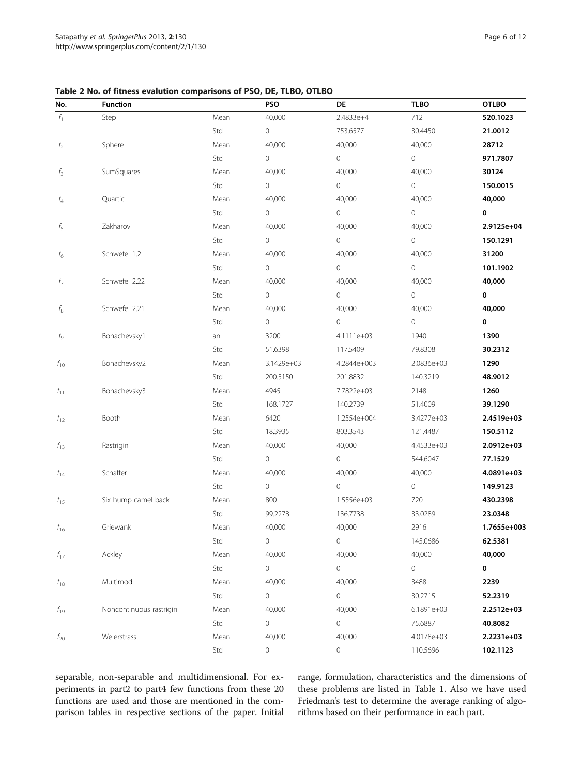<span id="page-5-0"></span>Table 2 No. of fitness evalution comparisons of PSO, DE, TLBO, OTLBO

| No.                       | <b>Function</b>         |      | PSO                 | DE                  | <b>TLBO</b> | <b>OTLBO</b> |
|---------------------------|-------------------------|------|---------------------|---------------------|-------------|--------------|
| $f_1$                     | Step                    | Mean | 40,000              | 2.4833e+4           | 712         | 520.1023     |
|                           |                         | Std  | 0                   | 753.6577            | 30.4450     | 21.0012      |
| $f_2$                     | Sphere                  | Mean | 40,000              | 40,000              | 40,000      | 28712        |
|                           |                         | Std  | 0                   | 0                   | 0           | 971.7807     |
| $f_3$                     | SumSquares              | Mean | 40,000              | 40,000              | 40,000      | 30124        |
|                           |                         | Std  | 0                   | $\mathsf{O}\xspace$ | $\mathbf 0$ | 150.0015     |
| f <sub>4</sub>            | Quartic                 | Mean | 40,000              | 40,000              | 40,000      | 40,000       |
|                           |                         | Std  | 0                   | 0                   | $\mathbf 0$ | 0            |
| $f_5$                     | Zakharov                | Mean | 40,000              | 40,000              | 40,000      | 2.9125e+04   |
|                           |                         | Std  | 0                   | 0                   | $\circ$     | 150.1291     |
| $f_6^{\phantom{\dagger}}$ | Schwefel 1.2            | Mean | 40,000              | 40,000              | 40,000      | 31200        |
|                           |                         | Std  | 0                   | $\mathsf{O}\xspace$ | $\mathbf 0$ | 101.1902     |
| $f_7\,$                   | Schwefel 2.22           | Mean | 40,000              | 40,000              | 40,000      | 40,000       |
|                           |                         | Std  | 0                   | $\overline{0}$      | $\mathbf 0$ | 0            |
| $f_8^{\phantom{\dagger}}$ | Schwefel 2.21           | Mean | 40,000              | 40,000              | 40,000      | 40,000       |
|                           |                         | Std  | 0                   | $\circ$             | 0           | 0            |
| $f_{\rm 9}$               | Bohachevsky1            | an   | 3200                | 4.1111e+03          | 1940        | 1390         |
|                           |                         | Std  | 51.6398             | 117.5409            | 79.8308     | 30.2312      |
| $f_{10}$                  | Bohachevsky2            | Mean | 3.1429e+03          | 4.2844e+003         | 2.0836e+03  | 1290         |
|                           |                         | Std  | 200.5150            | 201.8832            | 140.3219    | 48.9012      |
| $f_{11}$                  | Bohachevsky3            | Mean | 4945                | 7.7822e+03          | 2148        | 1260         |
|                           |                         | Std  | 168.1727            | 140.2739            | 51.4009     | 39.1290      |
| $f_{12}$                  | Booth                   | Mean | 6420                | 1.2554e+004         | 3.4277e+03  | 2.4519e+03   |
|                           |                         | Std  | 18.3935             | 803.3543            | 121.4487    | 150.5112     |
| $f_{13}$                  | Rastrigin               | Mean | 40,000              | 40,000              | 4.4533e+03  | 2.0912e+03   |
|                           |                         | Std  | 0                   | 0                   | 544.6047    | 77.1529      |
| $f_{14}$                  | Schaffer                | Mean | 40,000              | 40,000              | 40,000      | 4.0891e+03   |
|                           |                         | Std  | 0                   | $\circ$             | 0           | 149.9123     |
| $f_{15}$                  | Six hump camel back     | Mean | 800                 | 1.5556e+03          | 720         | 430.2398     |
|                           |                         | Std  | 99.2278             | 136.7738            | 33.0289     | 23.0348      |
| $f_{16}$                  | Griewank                | Mean | 40,000              | 40,000              | 2916        | 1.7655e+003  |
|                           |                         | Std  | 0                   | 0                   | 145.0686    | 62.5381      |
| $f_{17}$                  | Ackley                  | Mean | 40,000              | 40,000              | 40,000      | 40,000       |
|                           |                         | Std  | $\mathsf{O}\xspace$ | $\circ$             | 0           | 0            |
| $f_{18}$                  | Multimod                | Mean | 40,000              | 40,000              | 3488        | 2239         |
|                           |                         | Std  | 0                   | 0                   | 30.2715     | 52.2319      |
| $f_{19}$                  | Noncontinuous rastrigin | Mean | 40,000              | 40,000              | 6.1891e+03  | 2.2512e+03   |
|                           |                         | Std  | 0                   | 0                   | 75.6887     | 40.8082      |
| $f_{20}$                  | Weierstrass             | Mean | 40,000              | 40,000              | 4.0178e+03  | 2.2231e+03   |
|                           |                         | Std  | 0                   | 0                   | 110.5696    | 102.1123     |

separable, non-separable and multidimensional. For experiments in part2 to part4 few functions from these 20 functions are used and those are mentioned in the comparison tables in respective sections of the paper. Initial range, formulation, characteristics and the dimensions of these problems are listed in Table [1.](#page-4-0) Also we have used Friedman's test to determine the average ranking of algorithms based on their performance in each part.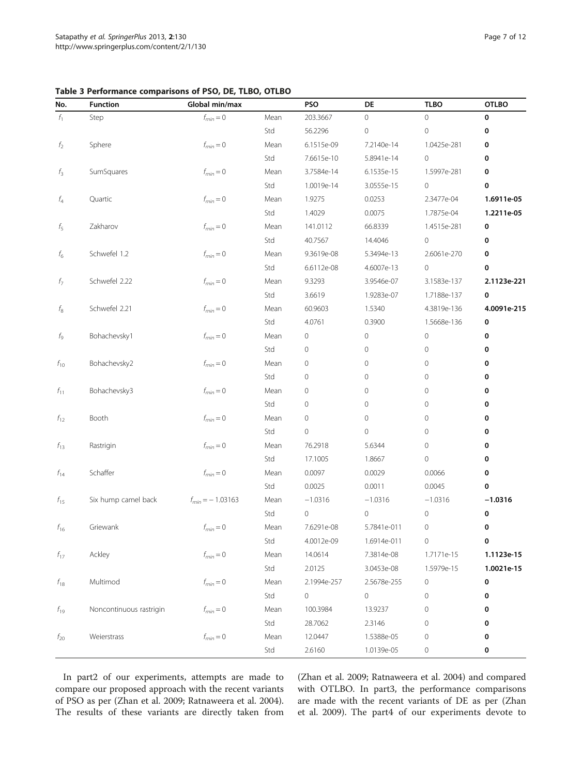<span id="page-6-0"></span>

| Table 3 Performance comparisons of PSO, DE, TLBO, OTLBO |  |
|---------------------------------------------------------|--|
|---------------------------------------------------------|--|

| No.            | <b>Function</b>         | Global min/max       |      | <b>PSO</b>   | DE             | <b>TLBO</b>  | <b>OTLBO</b> |
|----------------|-------------------------|----------------------|------|--------------|----------------|--------------|--------------|
| $f_1$          | Step                    | $f_{min} = 0$        | Mean | 203.3667     | 0              | $\circ$      | 0            |
|                |                         |                      | Std  | 56.2296      | 0              | $\mathbf{O}$ | 0            |
| f <sub>2</sub> | Sphere                  | $f_{min} = 0$        | Mean | 6.1515e-09   | 7.2140e-14     | 1.0425e-281  | 0            |
|                |                         |                      | Std  | 7.6615e-10   | 5.8941e-14     | $\circ$      | 0            |
| $f_3$          | SumSquares              | $f_{min} = 0$        | Mean | 3.7584e-14   | 6.1535e-15     | 1.5997e-281  | 0            |
|                |                         |                      | Std  | 1.0019e-14   | 3.0555e-15     | $\circ$      | 0            |
| $f_4$          | Quartic                 | $f_{min} = 0$        | Mean | 1.9275       | 0.0253         | 2.3477e-04   | 1.6911e-05   |
|                |                         |                      | Std  | 1.4029       | 0.0075         | 1.7875e-04   | 1.2211e-05   |
| $f_5$          | Zakharov                | $f_{min} = 0$        | Mean | 141.0112     | 66.8339        | 1.4515e-281  | 0            |
|                |                         |                      | Std  | 40.7567      | 14.4046        | $\circ$      | 0            |
| $f_6$          | Schwefel 1.2            | $f_{min} = 0$        | Mean | 9.3619e-08   | 5.3494e-13     | 2.6061e-270  | 0            |
|                |                         |                      | Std  | 6.6112e-08   | 4.6007e-13     | $\circ$      | 0            |
| f7             | Schwefel 2.22           | $f_{min} = 0$        | Mean | 9.3293       | 3.9546e-07     | 3.1583e-137  | 2.1123e-221  |
|                |                         |                      | Std  | 3.6619       | 1.9283e-07     | 1.7188e-137  | 0            |
| $f_8$          | Schwefel 2.21           | $f_{min} = 0$        | Mean | 60.9603      | 1.5340         | 4.3819e-136  | 4.0091e-215  |
|                |                         |                      | Std  | 4.0761       | 0.3900         | 1.5668e-136  | 0            |
| $f_{\rm Q}$    | Bohachevsky1            | $f_{min} = 0$        | Mean | 0            | 0              | $\mathbb O$  | 0            |
|                |                         |                      | Std  | $\mathbf{0}$ | $\overline{0}$ | $\mathbf{0}$ | 0            |
| $f_{10}$       | Bohachevsky2            | $f_{min} = 0$        | Mean | 0            | $\circ$        | $\mathbf{0}$ | 0            |
|                |                         |                      | Std  | $\mathbf{0}$ | 0              | $\circ$      | 0            |
| $f_{11}$       | Bohachevsky3            | $f_{min} = 0$        | Mean | 0            | 0              | $\mathbf{0}$ | 0            |
|                |                         |                      | Std  | 0            | 0              | $\mathbf{0}$ | 0            |
| $f_{12}$       | Booth                   | $f_{min} = 0$        | Mean | 0            | 0              | $\mathbf{0}$ | 0            |
|                |                         |                      | Std  | 0            | $\circ$        | $\circ$      | 0            |
| $f_{13}$       | Rastrigin               | $f_{min} = 0$        | Mean | 76.2918      | 5.6344         | $\circ$      | 0            |
|                |                         |                      | Std  | 17.1005      | 1.8667         | $\circ$      | 0            |
| $f_{14}$       | Schaffer                | $f_{min} = 0$        | Mean | 0.0097       | 0.0029         | 0.0066       | 0            |
|                |                         |                      | Std  | 0.0025       | 0.0011         | 0.0045       | 0            |
| $f_{15}$       | Six hump camel back     | $f_{min} = -1.03163$ | Mean | $-1.0316$    | $-1.0316$      | $-1.0316$    | $-1.0316$    |
|                |                         |                      | Std  | 0            | 0              | $\mathbf 0$  | 0            |
| $f_{16}$       | Griewank                | $f_{min} = 0$        | Mean | 7.6291e-08   | 5.7841e-011    | 0            | 0            |
|                |                         |                      | Std  | 4.0012e-09   | 1.6914e-011    | 0            | $\pmb{0}$    |
| $f_{17}$       | Ackley                  | $f_{min} = 0$        | Mean | 14.0614      | 7.3814e-08     | 1.7171e-15   | 1.1123e-15   |
|                |                         |                      | Std  | 2.0125       | 3.0453e-08     | 1.5979e-15   | 1.0021e-15   |
| $f_{\rm 18}$   | Multimod                | $f_{min} = 0$        | Mean | 2.1994e-257  | 2.5678e-255    | 0            | 0            |
|                |                         |                      | Std  | 0            | 0              | 0            | 0            |
| $f_{19}$       | Noncontinuous rastrigin | $f_{min} = 0$        | Mean | 100.3984     | 13.9237        | 0            | 0            |
|                |                         |                      | Std  | 28.7062      | 2.3146         | $\mathbf{0}$ | 0            |
| $f_{20}$       | Weierstrass             | $f_{min} = 0$        | Mean | 12.0447      | 1.5388e-05     | 0            | 0            |
|                |                         |                      | Std  | 2.6160       | 1.0139e-05     | 0            | 0            |

In part2 of our experiments, attempts are made to compare our proposed approach with the recent variants of PSO as per (Zhan et al. [2009](#page-11-0); Ratnaweera et al. [2004](#page-11-0)). The results of these variants are directly taken from

(Zhan et al. [2009](#page-11-0); Ratnaweera et al. [2004](#page-11-0)) and compared with OTLBO. In part3, the performance comparisons are made with the recent variants of DE as per (Zhan et al. [2009\)](#page-11-0). The part4 of our experiments devote to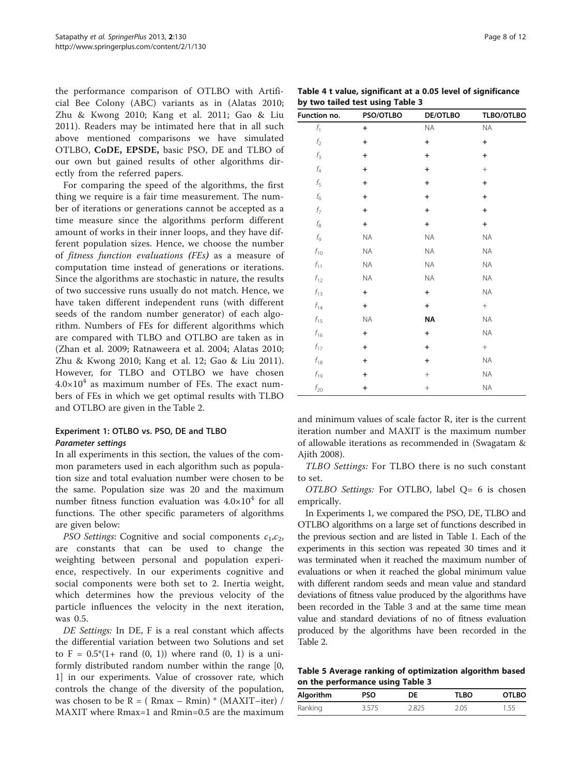<span id="page-7-0"></span>the performance comparison of OTLBO with Artificial Bee Colony (ABC) variants as in (Alatas [2010](#page-10-0); Zhu & Kwong [2010](#page-11-0); Kang et al. [2011;](#page-10-0) Gao & Liu [2011\)](#page-10-0). Readers may be intimated here that in all such above mentioned comparisons we have simulated OTLBO, CoDE, EPSDE, basic PSO, DE and TLBO of our own but gained results of other algorithms directly from the referred papers.

For comparing the speed of the algorithms, the first thing we require is a fair time measurement. The number of iterations or generations cannot be accepted as a time measure since the algorithms perform different amount of works in their inner loops, and they have different population sizes. Hence, we choose the number of fitness function evaluations (FEs) as a measure of computation time instead of generations or iterations. Since the algorithms are stochastic in nature, the results of two successive runs usually do not match. Hence, we have taken different independent runs (with different seeds of the random number generator) of each algorithm. Numbers of FEs for different algorithms which are compared with TLBO and OTLBO are taken as in (Zhan et al. [2009](#page-11-0); Ratnaweera et al. [2004;](#page-11-0) Alatas [2010](#page-10-0); Zhu & Kwong [2010](#page-11-0); Kang et al. [12;](#page-10-0) Gao & Liu [2011](#page-10-0)). However, for TLBO and OTLBO we have chosen  $4.0\times10^{4}$  as maximum number of FEs. The exact numbers of FEs in which we get optimal results with TLBO and OTLBO are given in the Table [2](#page-5-0).

# Experiment 1: OTLBO vs. PSO, DE and TLBO

In all experiments in this section, the values of the common parameters used in each algorithm such as population size and total evaluation number were chosen to be the same. Population size was 20 and the maximum number fitness function evaluation was  $4.0\times10^4$  for all functions. The other specific parameters of algorithms are given below:

PSO Settings: Cognitive and social components  $c_1, c_2$ , are constants that can be used to change the weighting between personal and population experience, respectively. In our experiments cognitive and social components were both set to 2. Inertia weight, which determines how the previous velocity of the particle influences the velocity in the next iteration, was 0.5.

DE Settings: In DE, F is a real constant which affects the differential variation between two Solutions and set to  $F = 0.5*(1 + \text{rand}(0, 1))$  where rand  $(0, 1)$  is a uniformly distributed random number within the range [0, 1] in our experiments. Value of crossover rate, which controls the change of the diversity of the population, was chosen to be  $R = (Rmax - Rmin) * (MAXIT–iter) /$ MAXIT where Rmax=1 and Rmin=0.5 are the maximum

Table 4 t value, significant at a 0.05 level of significance by two tailed test using Table [3](#page-6-0)

| Function no.              | PSO/OTLBO | <b>DE/OTLBO</b>                  | TLBO/OTLBO |
|---------------------------|-----------|----------------------------------|------------|
| $f_1$                     | $\ddot{}$ | $\sf NA$                         | <b>NA</b>  |
| $f_2^{\phantom{\dagger}}$ | $\ddot{}$ | $\ddot{}$                        | $\ddot{}$  |
| $f_3$                     | $\ddot{}$ | $\ddot{}$                        | $\ddot{}$  |
| $f_4$                     | $\ddot{}$ | $\ddot{}$                        | $^{+}$     |
| $f_5$                     | $\ddot{}$ | $\ddot{}$                        | $\ddot{}$  |
| $f_6$                     | $\ddot{}$ | $\ddot{}$                        | $\ddot{}$  |
| $f_7\,$                   | $\ddot{}$ | $\begin{array}{c} + \end{array}$ | $\ddot{}$  |
| $f_8^{\phantom{\dagger}}$ | $\ddot{}$ | $\begin{array}{c} + \end{array}$ | $\ddot{}$  |
| $f_{\rm Q}$               | ΝA        | NA                               | $\sf NA$   |
| $f_{10}$                  | ΝA        | $\sf NA$                         | <b>NA</b>  |
| $f_{11}$                  | ΝA        | <b>NA</b>                        | <b>NA</b>  |
| $f_{12}$                  | NA        | NA                               | $\sf NA$   |
| $f_{13}$                  | $\ddot{}$ | $\ddot{}$                        | $\sf NA$   |
| $f_{14}$                  | $\ddot{}$ | $\begin{array}{c} + \end{array}$ | $^{+}$     |
| $f_{15}$                  | ΝA        | NA                               | ΝA         |
| $f_{16}$                  | $\ddot{}$ | $\ddot{}$                        | <b>NA</b>  |
| $f_{17}$                  | $\ddot{}$ | $\ddot{}$                        | $^{+}$     |
| $f_{\rm 18}$              | $\ddot{}$ | $\ddot{}$                        | ΝA         |
| $f_{19}$                  | $\ddot{}$ | $^{+}$                           | $\sf NA$   |
| $f_{\rm 20}$              | $\ddot{}$ |                                  | $\sf NA$   |

and minimum values of scale factor R, iter is the current iteration number and MAXIT is the maximum number of allowable iterations as recommended in (Swagatam & Ajith [2008\)](#page-11-0).

TLBO Settings: For TLBO there is no such constant to set.

OTLBO Settings: For OTLBO, label Q= 6 is chosen emprically.

In Experiments 1, we compared the PSO, DE, TLBO and OTLBO algorithms on a large set of functions described in the previous section and are listed in Table [1.](#page-4-0) Each of the experiments in this section was repeated 30 times and it was terminated when it reached the maximum number of evaluations or when it reached the global minimum value with different random seeds and mean value and standard deviations of fitness value produced by the algorithms have been recorded in the Table [3](#page-6-0) and at the same time mean value and standard deviations of no of fitness evaluation produced by the algorithms have been recorded in the Table [2](#page-5-0).

Table 5 Average ranking of optimization algorithm based on the performance using Table [3](#page-6-0)

| Algorithm | <b>PSO</b> | DE    | TLBO | <b>OTLBO</b> |
|-----------|------------|-------|------|--------------|
| Ranking   | 3.575      | ი 825 | 2.05 | .55          |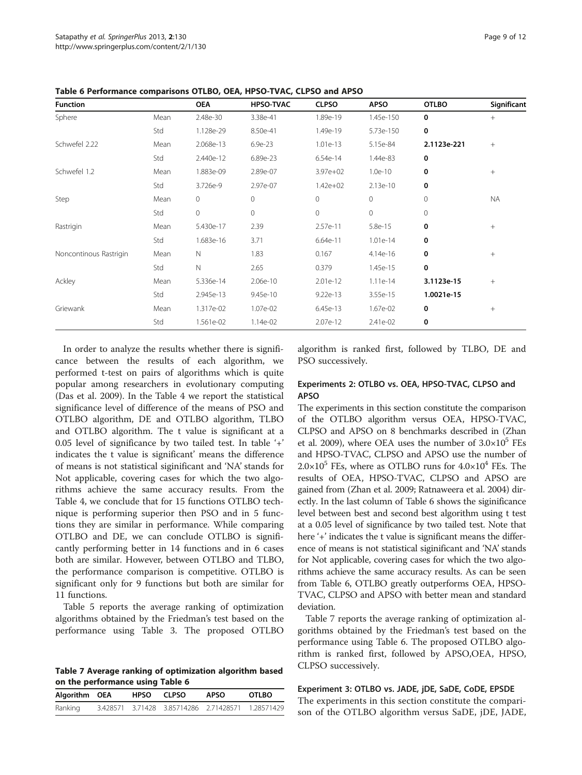| <b>Function</b>        |      | <b>OEA</b>  | <b>HPSO-TVAC</b> | <b>CLPSO</b> | <b>APSO</b> | <b>OTLBO</b> | Significant     |
|------------------------|------|-------------|------------------|--------------|-------------|--------------|-----------------|
| Sphere                 | Mean | 2.48e-30    | 3.38e-41         | 1.89e-19     | 1.45e-150   | $\mathbf 0$  | $+$             |
|                        | Std  | 1.128e-29   | 8.50e-41         | 1.49e-19     | 5.73e-150   | $\mathbf 0$  |                 |
| Schwefel 2.22          | Mean | 2.068e-13   | 6.9e-23          | 1.01e-13     | 5.15e-84    | 2.1123e-221  | $^{+}$          |
|                        | Std  | 2.440e-12   | 6.89e-23         | 6.54e-14     | 1.44e-83    | 0            |                 |
| Schwefel 1.2           | Mean | 1.883e-09   | 2.89e-07         | 3.97e+02     | $1.0e-10$   | 0            | $\! + \!\!\!\!$ |
|                        | Std  | 3.726e-9    | 2.97e-07         | $1.42e + 02$ | 2.13e-10    | 0            |                 |
| Step                   | Mean | 0           | $\mathbf{0}$     | $\mathbf{0}$ | 0           | $\mathbf{0}$ | <b>NA</b>       |
|                        | Std  | 0           | $\overline{0}$   | $\circ$      | 0           | $\mathbf{0}$ |                 |
| Rastrigin              | Mean | 5.430e-17   | 2.39             | 2.57e-11     | 5.8e-15     | 0            | $^{+}$          |
|                        | Std  | 1.683e-16   | 3.71             | $6.64e-11$   | $1.01e-14$  | 0            |                 |
| Noncontinous Rastrigin | Mean | $\mathbb N$ | 1.83             | 0.167        | 4.14e-16    | $\mathbf 0$  | $+$             |
|                        | Std  | $\mathbb N$ | 2.65             | 0.379        | 1.45e-15    | $\mathbf 0$  |                 |
| Ackley                 | Mean | 5.336e-14   | 2.06e-10         | 2.01e-12     | $1.11e-14$  | 3.1123e-15   | $+$             |
|                        | Std  | 2.945e-13   | 9.45e-10         | 9.22e-13     | 3.55e-15    | 1.0021e-15   |                 |
| Griewank               | Mean | 1.317e-02   | 1.07e-02         | 6.45e-13     | 1.67e-02    | 0            | $^{+}$          |
|                        | Std  | 1.561e-02   | 1.14e-02         | 2.07e-12     | 2.41e-02    | 0            |                 |

<span id="page-8-0"></span>Table 6 Performance comparisons OTLBO, OEA, HPSO-TVAC, CLPSO and APSO

In order to analyze the results whether there is significance between the results of each algorithm, we performed t-test on pairs of algorithms which is quite popular among researchers in evolutionary computing (Das et al. [2009\)](#page-10-0). In the Table [4](#page-7-0) we report the statistical significance level of difference of the means of PSO and OTLBO algorithm, DE and OTLBO algorithm, TLBO and OTLBO algorithm. The t value is significant at a 0.05 level of significance by two tailed test. In table '+' indicates the t value is significant' means the difference of means is not statistical siginificant and 'NA' stands for Not applicable, covering cases for which the two algorithms achieve the same accuracy results. From the Table [4,](#page-7-0) we conclude that for 15 functions OTLBO technique is performing superior then PSO and in 5 functions they are similar in performance. While comparing OTLBO and DE, we can conclude OTLBO is significantly performing better in 14 functions and in 6 cases both are similar. However, between OTLBO and TLBO, the performance comparison is competitive. OTLBO is significant only for 9 functions but both are similar for 11 functions.

Table [5](#page-7-0) reports the average ranking of optimization algorithms obtained by the Friedman's test based on the performance using Table [3](#page-6-0). The proposed OTLBO

Table 7 Average ranking of optimization algorithm based on the performance using Table 6

| Algorithm OEA | HPSO CLPSO |                                                   | APSO | <b>OTLBO</b> |  |
|---------------|------------|---------------------------------------------------|------|--------------|--|
| Ranking       |            | 3.428571 3.71428 3.85714286 2.71428571 1.28571429 |      |              |  |

algorithm is ranked first, followed by TLBO, DE and PSO successively.

### Experiments 2: OTLBO vs. OEA, HPSO-TVAC, CLPSO and APSO

The experiments in this section constitute the comparison of the OTLBO algorithm versus OEA, HPSO-TVAC, CLPSO and APSO on 8 benchmarks described in (Zhan et al. [2009](#page-11-0)), where OEA uses the number of  $3.0\times10^5$  FEs and HPSO-TVAC, CLPSO and APSO use the number of  $2.0\times10^5$  FEs, where as OTLBO runs for  $4.0\times10^4$  FEs. The results of OEA, HPSO-TVAC, CLPSO and APSO are gained from (Zhan et al. [2009](#page-11-0); Ratnaweera et al. [2004](#page-11-0)) directly. In the last column of Table 6 shows the siginificance level between best and second best algorithm using t test at a 0.05 level of significance by two tailed test. Note that here '+' indicates the t value is significant means the difference of means is not statistical siginificant and 'NA' stands for Not applicable, covering cases for which the two algorithms achieve the same accuracy results. As can be seen from Table 6, OTLBO greatly outperforms OEA, HPSO-TVAC, CLPSO and APSO with better mean and standard deviation.

Table 7 reports the average ranking of optimization algorithms obtained by the Friedman's test based on the performance using Table 6. The proposed OTLBO algorithm is ranked first, followed by APSO,OEA, HPSO, CLPSO successively.

### Experiment 3: OTLBO vs. JADE, jDE, SaDE, CoDE, EPSDE

The experiments in this section constitute the comparison of the OTLBO algorithm versus SaDE, jDE, JADE,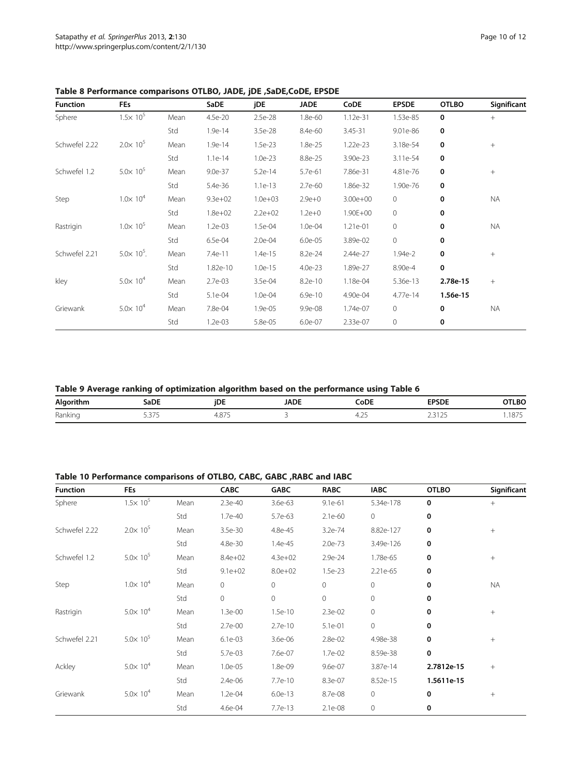| <b>Function</b> | <b>FEs</b>          |      | <b>SaDE</b> | jDE         | <b>JADE</b> | CoDE         | <b>EPSDE</b> | <b>OTLBO</b> | Significant |
|-----------------|---------------------|------|-------------|-------------|-------------|--------------|--------------|--------------|-------------|
| Sphere          | $1.5 \times 10^{5}$ | Mean | 4.5e-20     | 2.5e-28     | 1.8e-60     | 1.12e-31     | 1.53e-85     | $\mathbf 0$  | $^{+}$      |
|                 |                     | Std  | 1.9e-14     | 3.5e-28     | 8.4e-60     | 3.45-31      | 9.01e-86     | 0            |             |
| Schwefel 2.22   | $2.0 \times 10^{5}$ | Mean | 1.9e-14     | $1.5e-23$   | 1.8e-25     | 1.22e-23     | 3.18e-54     | 0            | $^{+}$      |
|                 |                     | Std  | $1.1e-14$   | $1.0e-23$   | 8.8e-25     | 3.90e-23     | 3.11e-54     | $\mathbf 0$  |             |
| Schwefel 1.2    | $5.0 \times 10^{5}$ | Mean | $9.0e-37$   | $5.2e-14$   | 5.7e-61     | 7.86e-31     | 4.81e-76     | 0            | $^{+}$      |
|                 |                     | Std  | 5.4e-36     | $1.1e-13$   | 2.7e-60     | 1.86e-32     | 1.90e-76     | $\bf{0}$     |             |
| Step            | $1.0 \times 10^{4}$ | Mean | $9.3e + 02$ | $1.0e + 03$ | $2.9e + 0$  | $3.00e + 00$ | $\circ$      | 0            | <b>NA</b>   |
|                 |                     | Std  | $1.8e + 02$ | $2.2e + 02$ | $1.2e + 0$  | 1.90E+00     | 0            | 0            |             |
| Rastrigin       | $1.0 \times 10^5$   | Mean | $1.2e-03$   | 1.5e-04     | 1.0e-04     | 1.21e-01     | 0            | 0            | <b>NA</b>   |
|                 |                     | Std  | 6.5e-04     | 2.0e-04     | $6.0e-05$   | 3.89e-02     | $\circ$      | $\mathbf 0$  |             |
| Schwefel 2.21   | $5.0 \times 10^5$ . | Mean | 7.4e-11     | 1.4e-15     | 8.2e-24     | 2.44e-27     | 1.94e-2      | $\bf{0}$     | $^{+}$      |
|                 |                     | Std  | 1.82e-10    | $1.0e-15$   | $4.0e-23$   | 1.89e-27     | 8.90e-4      | 0            |             |
| kley            | $5.0 \times 10^{4}$ | Mean | $2.7e-03$   | 3.5e-04     | 8.2e-10     | 1.18e-04     | 5.36e-13     | 2.78e-15     | $+$         |
|                 |                     | Std  | 5.1e-04     | 1.0e-04     | 6.9e-10     | 4.90e-04     | 4.77e-14     | 1.56e-15     |             |
| Griewank        | $5.0 \times 10^{4}$ | Mean | 7.8e-04     | 1.9e-05     | 9.9e-08     | 1.74e-07     | $\circ$      | 0            | <b>NA</b>   |
|                 |                     | Std  | $1.2e-03$   | 5.8e-05     | 6.0e-07     | 2.33e-07     | 0            | 0            |             |

<span id="page-9-0"></span>Table 8 Performance comparisons OTLBO, JADE, jDE ,SaDE,CoDE, EPSDE

Table 9 Average ranking of optimization algorithm based on the performance using Table [6](#page-8-0)

| Alc<br>- | .nr<br>c<br>$  -$                 | iDI<br>the contract of the contract of the | <b>JADE</b><br>----- | <b>DE</b>              |                      | --<br>_____         |
|----------|-----------------------------------|--------------------------------------------|----------------------|------------------------|----------------------|---------------------|
| Ranki    | - ---<br>$\overline{\phantom{a}}$ | ---<br>، ت                                 |                      | $\sim$<br>∸<br>$\cdot$ | $\sim$ $\sim$<br>سمد | ---<br>. . <i>.</i> |

### Table 10 Performance comparisons of OTLBO, CABC, GABC ,RABC and IABC

| <b>Function</b> | <b>FEs</b>          |      | <b>CABC</b> | <b>GABC</b> | <b>RABC</b> | <b>IABC</b>  | <b>OTLBO</b> | Significant |
|-----------------|---------------------|------|-------------|-------------|-------------|--------------|--------------|-------------|
| Sphere          | $1.5 \times 10^{5}$ | Mean | 2.3e-40     | 3.6e-63     | $9.1e-61$   | 5.34e-178    | 0            | $^{+}$      |
|                 |                     | Std  | 1.7e-40     | 5.7e-63     | $2.1e-60$   | $\circ$      | 0            |             |
| Schwefel 2.22   | $2.0 \times 10^5$   | Mean | 3.5e-30     | 4.8e-45     | $3.2e-74$   | 8.82e-127    | 0            | $^{+}$      |
|                 |                     | Std  | 4.8e-30     | 1.4e-45     | $2.0e-73$   | 3.49e-126    | 0            |             |
| Schwefel 1.2    | $5.0 \times 10^{5}$ | Mean | $8.4e + 02$ | $4.3e + 02$ | 2.9e-24     | 1.78e-65     | 0            | $^{+}$      |
|                 |                     | Std  | $9.1e + 02$ | $8.0e + 02$ | 1.5e-23     | 2.21e-65     | 0            |             |
| Step            | $1.0 \times 10^{4}$ | Mean | 0           | 0           | $\circ$     | $\mathbf 0$  | 0            | <b>NA</b>   |
|                 |                     | Std  | $\mathbf 0$ | 0           | $\circ$     | $\mathbf 0$  | 0            |             |
| Rastrigin       | $5.0 \times 10^{4}$ | Mean | 1.3e-00     | $1.5e-10$   | 2.3e-02     | $\mathbf 0$  | 0            | $^{+}$      |
|                 |                     | Std  | $2.7e - 00$ | 2.7e-10     | 5.1e-01     | $\mathbf 0$  | 0            |             |
| Schwefel 2.21   | $5.0 \times 10^{5}$ | Mean | $6.1e-03$   | 3.6e-06     | 2.8e-02     | 4.98e-38     | 0            | $+$         |
|                 |                     | Std  | 5.7e-03     | 7.6e-07     | 1.7e-02     | 8.59e-38     | 0            |             |
| Ackley          | $5.0 \times 10^{4}$ | Mean | 1.0e-05     | 1.8e-09     | 9.6e-07     | 3.87e-14     | 2.7812e-15   | $^{+}$      |
|                 |                     | Std  | 2.4e-06     | 7.7e-10     | 8.3e-07     | 8.52e-15     | 1.5611e-15   |             |
| Griewank        | $5.0 \times 10^{4}$ | Mean | $1.2e-04$   | $6.0e-13$   | 8.7e-08     | $\mathbf{0}$ | 0            | $+$         |
|                 |                     | Std  | 4.6e-04     | 7.7e-13     | 2.1e-08     | $\mathbf 0$  | 0            |             |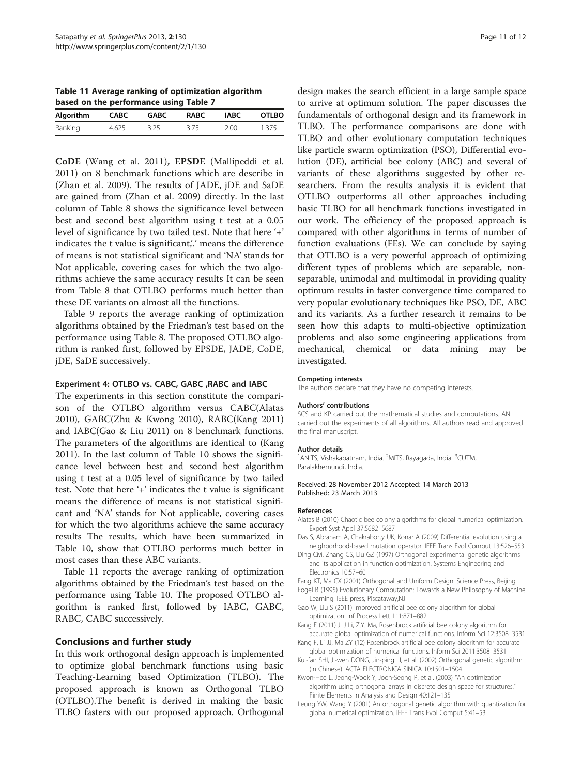<span id="page-10-0"></span>Table 11 Average ranking of optimization algorithm based on the performance using Table [7](#page-8-0)

| Algorithm | <b>CABC</b> | GABC | RABC | IABC | <b>OTLBO</b> |  |  |  |  |
|-----------|-------------|------|------|------|--------------|--|--|--|--|
| Ranking   | 4.625       | 3.25 | 3.75 | 2.00 | 1.375        |  |  |  |  |

CoDE (Wang et al. [2011](#page-11-0)), EPSDE (Mallipeddi et al. [2011\)](#page-11-0) on 8 benchmark functions which are describe in (Zhan et al. [2009](#page-11-0)). The results of JADE, jDE and SaDE are gained from (Zhan et al. [2009](#page-11-0)) directly. In the last column of Table [8](#page-9-0) shows the significance level between best and second best algorithm using t test at a 0.05 level of significance by two tailed test. Note that here '+' indicates the t value is significant,'.' means the difference of means is not statistical significant and 'NA' stands for Not applicable, covering cases for which the two algorithms achieve the same accuracy results It can be seen from Table [8](#page-9-0) that OTLBO performs much better than these DE variants on almost all the functions.

Table [9](#page-9-0) reports the average ranking of optimization algorithms obtained by the Friedman's test based on the performance using Table [8.](#page-9-0) The proposed OTLBO algorithm is ranked first, followed by EPSDE, JADE, CoDE, jDE, SaDE successively.

### Experiment 4: OTLBO vs. CABC, GABC ,RABC and IABC

The experiments in this section constitute the comparison of the OTLBO algorithm versus CABC(Alatas 2010), GABC(Zhu & Kwong [2010\)](#page-11-0), RABC(Kang 2011) and IABC(Gao & Liu 2011) on 8 benchmark functions. The parameters of the algorithms are identical to (Kang 2011). In the last column of Table [10](#page-9-0) shows the significance level between best and second best algorithm using t test at a 0.05 level of significance by two tailed test. Note that here '+' indicates the t value is significant means the difference of means is not statistical significant and 'NA' stands for Not applicable, covering cases for which the two algorithms achieve the same accuracy results The results, which have been summarized in Table [10](#page-9-0), show that OTLBO performs much better in most cases than these ABC variants.

Table 11 reports the average ranking of optimization algorithms obtained by the Friedman's test based on the performance using Table [10](#page-9-0). The proposed OTLBO algorithm is ranked first, followed by IABC, GABC, RABC, CABC successively.

### Conclusions and further study

In this work orthogonal design approach is implemented to optimize global benchmark functions using basic Teaching-Learning based Optimization (TLBO). The proposed approach is known as Orthogonal TLBO (OTLBO).The benefit is derived in making the basic TLBO fasters with our proposed approach. Orthogonal

design makes the search efficient in a large sample space to arrive at optimum solution. The paper discusses the fundamentals of orthogonal design and its framework in TLBO. The performance comparisons are done with TLBO and other evolutionary computation techniques like particle swarm optimization (PSO), Differential evolution (DE), artificial bee colony (ABC) and several of variants of these algorithms suggested by other researchers. From the results analysis it is evident that OTLBO outperforms all other approaches including basic TLBO for all benchmark functions investigated in our work. The efficiency of the proposed approach is compared with other algorithms in terms of number of function evaluations (FEs). We can conclude by saying that OTLBO is a very powerful approach of optimizing different types of problems which are separable, nonseparable, unimodal and multimodal in providing quality optimum results in faster convergence time compared to very popular evolutionary techniques like PSO, DE, ABC and its variants. As a further research it remains to be seen how this adapts to multi-objective optimization problems and also some engineering applications from mechanical, chemical or data mining may be investigated.

### Competing interests

The authors declare that they have no competing interests.

### Authors' contributions

SCS and KP carried out the mathematical studies and computations. AN carried out the experiments of all algorithms. All authors read and approved the final manuscript.

#### Author details

<sup>1</sup> ANITS, Vishakapatnam, India. <sup>2</sup> MITS, Rayagada, India. <sup>3</sup> CUTM, Paralakhemundi, India.

Received: 28 November 2012 Accepted: 14 March 2013 Published: 23 March 2013

### References

- Alatas B (2010) Chaotic bee colony algorithms for global numerical optimization. Expert Syst Appl 37:5682–5687
- Das S, Abraham A, Chakraborty UK, Konar A (2009) Differential evolution using a neighborhood-based mutation operator. IEEE Trans Evol Comput 13:526–553
- Ding CM, Zhang CS, Liu GZ (1997) Orthogonal experimental genetic algorithms and its application in function optimization. Systems Engineering and Electronics 10:57–60
- Fang KT, Ma CX (2001) Orthogonal and Uniform Design. Science Press, Beijing
- Fogel B (1995) Evolutionary Computation: Towards a New Philosophy of Machine Learning. IEEE press, Piscataway,NJ
- Gao W, Liu S (2011) Improved artificial bee colony algorithm for global optimization. Inf Process Lett 111:871–882
- Kang F (2011) J. J Li, Z.Y. Ma, Rosenbrock artificial bee colony algorithm for accurate global optimization of numerical functions. Inform Sci 12:3508–3531
- Kang F, Li JJ, Ma ZY (12) Rosenbrock artificial bee colony algorithm for accurate global optimization of numerical functions. Inform Sci 2011:3508–3531
- Kui-fan SHI, Ji-wen DONG, Jin-ping LI, et al. (2002) Orthogonal genetic algorithm (in Chinese). ACTA ELECTRONICA SINICA 10:1501–1504
- Kwon-Hee L, Jeong-Wook Y, Joon-Seong P, et al. (2003) "An optimization algorithm using orthogonal arrays in discrete design space for structures." Finite Elements in Analysis and Design 40:121–135
- Leung YW, Wang Y (2001) An orthogonal genetic algorithm with quantization for global numerical optimization. IEEE Trans Evol Comput 5:41–53